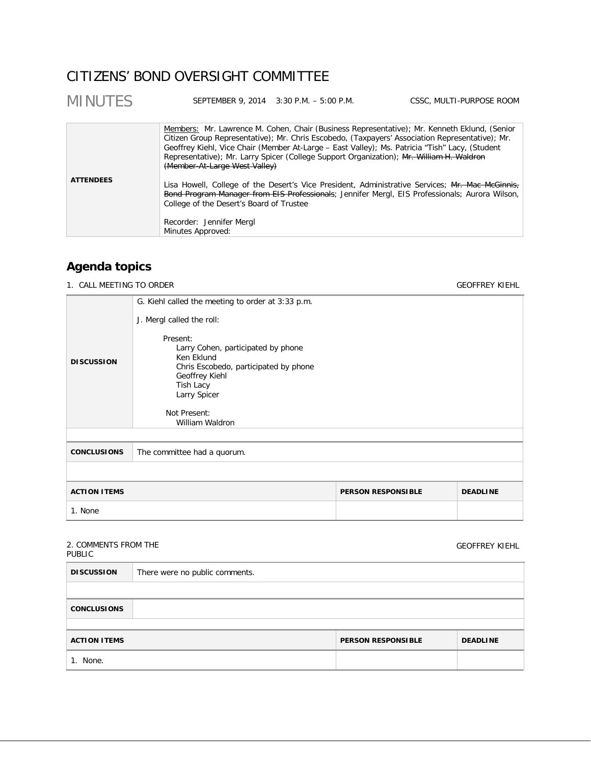# CITIZENS' BOND OVERSIGHT COMMITTEE

| <b>MINUTES</b>   |                                                                                                       | SEPTEMBER 9, 2014 3:30 P.M. - 5:00 P.M. | CSSC, MULTI-PURPOSE ROOM                                                                                                                                                                                                                                                                                                                                                                                                                                                                                                                                                                           |
|------------------|-------------------------------------------------------------------------------------------------------|-----------------------------------------|----------------------------------------------------------------------------------------------------------------------------------------------------------------------------------------------------------------------------------------------------------------------------------------------------------------------------------------------------------------------------------------------------------------------------------------------------------------------------------------------------------------------------------------------------------------------------------------------------|
| <b>ATTENDEES</b> | (Member-At-Large West Valley)<br>College of the Desert's Board of Trustee<br>Recorder: Jennifer Mergl |                                         | Members: Mr. Lawrence M. Cohen, Chair (Business Representative); Mr. Kenneth Eklund, (Senior<br>Citizen Group Representative); Mr. Chris Escobedo, (Taxpayers' Association Representative); Mr.<br>Geoffrey Kiehl, Vice Chair (Member At-Large - East Valley); Ms. Patricia "Tish" Lacy, (Student<br>Representative); Mr. Larry Spicer (College Support Organization); Mr. William H. Waldron<br>Lisa Howell, College of the Desert's Vice President, Administrative Services; Mr. Mac McGinnis,<br>Bond Program Manager from EIS Professionals; Jennifer Mergl, EIS Professionals; Aurora Wilson, |
|                  | Minutes Approved:                                                                                     |                                         |                                                                                                                                                                                                                                                                                                                                                                                                                                                                                                                                                                                                    |

# **Agenda topics**

1. CALL MEETING TO ORDER GEOFFREY KIEHL

|                     | G. Kiehl called the meeting to order at 3:33 p.m.                                                                        |                           |                 |
|---------------------|--------------------------------------------------------------------------------------------------------------------------|---------------------------|-----------------|
|                     | J. Mergl called the roll:<br>Present:                                                                                    |                           |                 |
| <b>DISCUSSION</b>   | Larry Cohen, participated by phone<br>Ken Eklund<br>Chris Escobedo, participated by phone<br>Geoffrey Kiehl<br>Tish Lacy |                           |                 |
|                     | Larry Spicer<br>Not Present:                                                                                             |                           |                 |
|                     | William Waldron                                                                                                          |                           |                 |
|                     |                                                                                                                          |                           |                 |
| <b>CONCLUSIONS</b>  | The committee had a quorum.                                                                                              |                           |                 |
|                     |                                                                                                                          |                           |                 |
| <b>ACTION ITEMS</b> |                                                                                                                          | <b>PERSON RESPONSIBLE</b> | <b>DEADLINE</b> |
| 1. None             |                                                                                                                          |                           |                 |

## 2. COMMENTS FROM THE PUBLIC

GEOFFREY KIEHL

| <b>DISCUSSION</b>   | There were no public comments. |                           |                 |
|---------------------|--------------------------------|---------------------------|-----------------|
|                     |                                |                           |                 |
| <b>CONCLUSIONS</b>  |                                |                           |                 |
|                     |                                |                           |                 |
| <b>ACTION ITEMS</b> |                                | <b>PERSON RESPONSIBLE</b> | <b>DEADLINE</b> |
| 1. None.            |                                |                           |                 |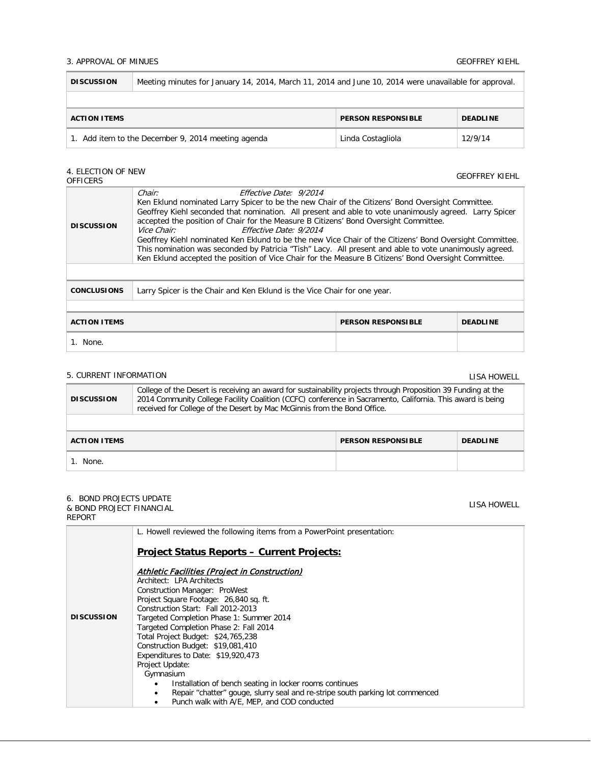### 3. APPROVAL OF MINUES GEOFFREY KIEHL

| <b>DISCUSSION</b>                                                               | Meeting minutes for January 14, 2014, March 11, 2014 and June 10, 2014 were unavailable for approval. |  |  |
|---------------------------------------------------------------------------------|-------------------------------------------------------------------------------------------------------|--|--|
|                                                                                 |                                                                                                       |  |  |
| <b>PERSON RESPONSIBLE</b><br><b>ACTION ITEMS</b><br><b>DEADLINE</b>             |                                                                                                       |  |  |
| Add item to the December 9, 2014 meeting agenda<br>12/9/14<br>Linda Costagliola |                                                                                                       |  |  |

# 4. ELECTION OF NEW

LISA HOWELL

| T. LLLVIIVIV UI IVLVV<br><b>OFFICERS</b>                                                                                                                                                                                                                                                                                                                                                                                                                                                                                                                                                                                                                                                                                                 |                                                                          |  | <b>GEOFFREY KIEHL</b> |  |
|------------------------------------------------------------------------------------------------------------------------------------------------------------------------------------------------------------------------------------------------------------------------------------------------------------------------------------------------------------------------------------------------------------------------------------------------------------------------------------------------------------------------------------------------------------------------------------------------------------------------------------------------------------------------------------------------------------------------------------------|--------------------------------------------------------------------------|--|-----------------------|--|
| Chair:<br>Effective Date: 9/2014<br>Ken Eklund nominated Larry Spicer to be the new Chair of the Citizens' Bond Oversight Committee.<br>Geoffrey Kiehl seconded that nomination. All present and able to vote unanimously agreed. Larry Spicer<br>accepted the position of Chair for the Measure B Citizens' Bond Oversight Committee.<br><b>DISCUSSION</b><br><i>Vice Chair:</i><br>Effective Date: 9/2014<br>Geoffrey Kiehl nominated Ken Eklund to be the new Vice Chair of the Citizens' Bond Oversight Committee.<br>This nomination was seconded by Patricia "Tish" Lacy. All present and able to vote unanimously agreed.<br>Ken Eklund accepted the position of Vice Chair for the Measure B Citizens' Bond Oversight Committee. |                                                                          |  |                       |  |
|                                                                                                                                                                                                                                                                                                                                                                                                                                                                                                                                                                                                                                                                                                                                          |                                                                          |  |                       |  |
| <b>CONCLUSIONS</b>                                                                                                                                                                                                                                                                                                                                                                                                                                                                                                                                                                                                                                                                                                                       | Larry Spicer is the Chair and Ken Eklund is the Vice Chair for one year. |  |                       |  |
|                                                                                                                                                                                                                                                                                                                                                                                                                                                                                                                                                                                                                                                                                                                                          |                                                                          |  |                       |  |
| <b>ACTION ITEMS</b><br><b>PERSON RESPONSIBLE</b><br><b>DEADLINE</b>                                                                                                                                                                                                                                                                                                                                                                                                                                                                                                                                                                                                                                                                      |                                                                          |  |                       |  |
| 1. None.                                                                                                                                                                                                                                                                                                                                                                                                                                                                                                                                                                                                                                                                                                                                 |                                                                          |  |                       |  |

## 5. CURRENT INFORMATION LISA HOWELL **DISCUSSION** College of the Desert is receiving an award for sustainability projects through Proposition 39 Funding at the 2014 Community College Facility Coalition (CCFC) conference in Sacramento, California. This award is being received for College of the Desert by Mac McGinnis from the Bond Office. **ACTION ITEMS PERSON RESPONSIBLE DEADLINE** 1. None.

#### 6. BOND PROJECTS UPDATE & BOND PROJECT FINANCIAL REPORT

|                   | L. Howell reviewed the following items from a PowerPoint presentation:                                                                                                                                                                                                                                                                                                                                                                                                                        |
|-------------------|-----------------------------------------------------------------------------------------------------------------------------------------------------------------------------------------------------------------------------------------------------------------------------------------------------------------------------------------------------------------------------------------------------------------------------------------------------------------------------------------------|
|                   | <u> Project Status Reports – Current Projects:</u>                                                                                                                                                                                                                                                                                                                                                                                                                                            |
| <b>DISCUSSION</b> | Athletic Facilities (Project in Construction)<br>Architect: LPA Architects<br>Construction Manager: ProWest<br>Project Square Footage: 26,840 sq. ft.<br>Construction Start: Fall 2012-2013<br>Targeted Completion Phase 1: Summer 2014<br>Targeted Completion Phase 2: Fall 2014<br>Total Project Budget: \$24,765,238<br>Construction Budget: \$19,081,410<br>Expenditures to Date: \$19,920,473<br>Project Update:<br>Gymnasium<br>Installation of bench seating in locker rooms continues |
|                   | Repair "chatter" gouge, slurry seal and re-stripe south parking lot commenced<br>Punch walk with A/E, MEP, and COD conducted                                                                                                                                                                                                                                                                                                                                                                  |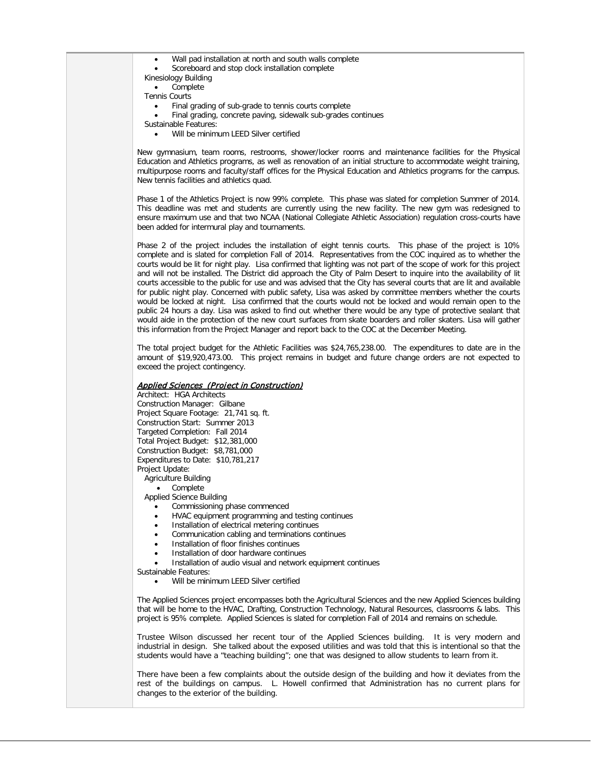- Wall pad installation at north and south walls complete
- Scoreboard and stop clock installation complete
- Kinesiology Building
- Complete
- Tennis Courts
	- Final grading of sub-grade to tennis courts complete
	- Final grading, concrete paving, sidewalk sub-grades continues
- Sustainable Features:
	- Will be minimum LEED Silver certified

New gymnasium, team rooms, restrooms, shower/locker rooms and maintenance facilities for the Physical Education and Athletics programs, as well as renovation of an initial structure to accommodate weight training, multipurpose rooms and faculty/staff offices for the Physical Education and Athletics programs for the campus. New tennis facilities and athletics quad.

Phase 1 of the Athletics Project is now 99% complete. This phase was slated for completion Summer of 2014. This deadline was met and students are currently using the new facility. The new gym was redesigned to ensure maximum use and that two NCAA (National Collegiate Athletic Association) regulation cross-courts have been added for intermural play and tournaments.

Phase 2 of the project includes the installation of eight tennis courts. This phase of the project is 10% complete and is slated for completion Fall of 2014. Representatives from the COC inquired as to whether the courts would be lit for night play. Lisa confirmed that lighting was not part of the scope of work for this project and will not be installed. The District did approach the City of Palm Desert to inquire into the availability of lit courts accessible to the public for use and was advised that the City has several courts that are lit and available for public night play. Concerned with public safety, Lisa was asked by committee members whether the courts would be locked at night. Lisa confirmed that the courts would not be locked and would remain open to the public 24 hours a day. Lisa was asked to find out whether there would be any type of protective sealant that would aide in the protection of the new court surfaces from skate boarders and roller skaters. Lisa will gather this information from the Project Manager and report back to the COC at the December Meeting.

The total project budget for the Athletic Facilities was \$24,765,238.00. The expenditures to date are in the amount of \$19,920,473.00. This project remains in budget and future change orders are not expected to exceed the project contingency.

## Applied Sciences (Project in Construction)

Architect: HGA Architects Construction Manager: Gilbane Project Square Footage: 21,741 sq. ft. Construction Start: Summer 2013 Targeted Completion: Fall 2014 Total Project Budget: \$12,381,000 Construction Budget: \$8,781,000 Expenditures to Date: \$10,781,217 Project Update:

Agriculture Building

• Complete

- Applied Science Building
	- Commissioning phase commenced
	- HVAC equipment programming and testing continues
	- Installation of electrical metering continues
	- Communication cabling and terminations continues
	- Installation of floor finishes continues
	- Installation of door hardware continues
	- Installation of audio visual and network equipment continues
- Sustainable Features:
	- Will be minimum LEED Silver certified

The Applied Sciences project encompasses both the Agricultural Sciences and the new Applied Sciences building that will be home to the HVAC, Drafting, Construction Technology, Natural Resources, classrooms & labs. This project is 95% complete. Applied Sciences is slated for completion Fall of 2014 and remains on schedule.

Trustee Wilson discussed her recent tour of the Applied Sciences building. It is very modern and industrial in design. She talked about the exposed utilities and was told that this is intentional so that the students would have a "teaching building"; one that was designed to allow students to learn from it.

There have been a few complaints about the outside design of the building and how it deviates from the rest of the buildings on campus. L. Howell confirmed that Administration has no current plans for changes to the exterior of the building.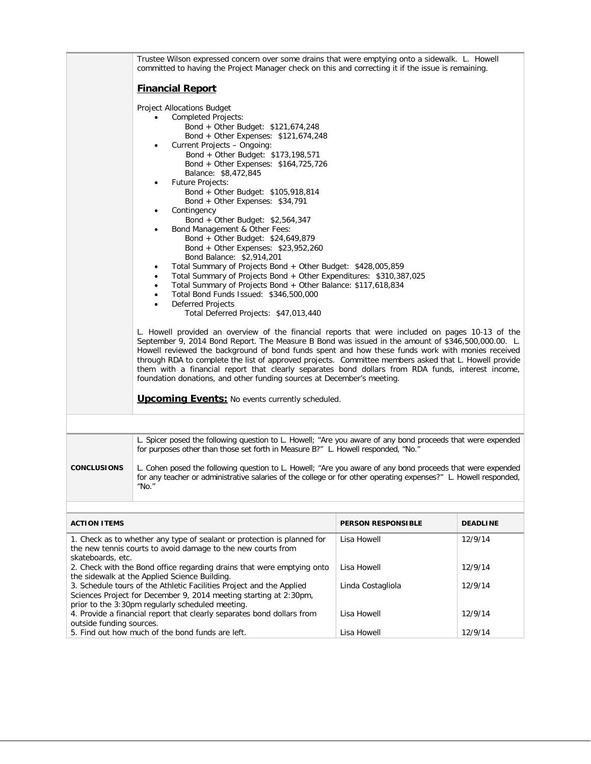|                   | Trustee Wilson expressed concern over some drains that were emptying onto a sidewalk. L. Howell<br>committed to having the Project Manager check on this and correcting it if the issue is remaining.                                                                                                                                                                                                                                                                                                                                                                                                                                                                                                                                                                                                                                                                                                                                                                                                                                                                                                                                                                                                                                                                                                                                                                                                                                                                                                                                                                                                                       |                           |                 |  |  |
|-------------------|-----------------------------------------------------------------------------------------------------------------------------------------------------------------------------------------------------------------------------------------------------------------------------------------------------------------------------------------------------------------------------------------------------------------------------------------------------------------------------------------------------------------------------------------------------------------------------------------------------------------------------------------------------------------------------------------------------------------------------------------------------------------------------------------------------------------------------------------------------------------------------------------------------------------------------------------------------------------------------------------------------------------------------------------------------------------------------------------------------------------------------------------------------------------------------------------------------------------------------------------------------------------------------------------------------------------------------------------------------------------------------------------------------------------------------------------------------------------------------------------------------------------------------------------------------------------------------------------------------------------------------|---------------------------|-----------------|--|--|
|                   | <b>Financial Report</b>                                                                                                                                                                                                                                                                                                                                                                                                                                                                                                                                                                                                                                                                                                                                                                                                                                                                                                                                                                                                                                                                                                                                                                                                                                                                                                                                                                                                                                                                                                                                                                                                     |                           |                 |  |  |
|                   | <b>Project Allocations Budget</b><br><b>Completed Projects:</b><br>Bond + Other Budget: \$121,674,248<br>Bond + Other Expenses: \$121,674,248<br>Current Projects - Ongoing:<br>٠<br>Bond + Other Budget: \$173,198,571<br>Bond + Other Expenses: \$164,725,726<br>Balance: \$8,472,845<br><b>Future Projects:</b><br>Bond + Other Budget: \$105,918,814<br>Bond + Other Expenses: \$34,791<br>Contingency<br>Bond + Other Budget: \$2,564,347<br>Bond Management & Other Fees:<br>Bond + Other Budget: \$24,649,879<br>Bond + Other Expenses: $$23,952,260$<br>Bond Balance: \$2,914,201<br>Total Summary of Projects Bond + Other Budget: \$428,005,859<br>$\bullet$<br>Total Summary of Projects Bond + Other Expenditures: \$310,387,025<br>٠<br>Total Summary of Projects Bond + Other Balance: \$117,618,834<br>$\bullet$<br>Total Bond Funds Issued: \$346,500,000<br>$\bullet$<br><b>Deferred Projects</b><br>Total Deferred Projects: \$47,013,440<br>L. Howell provided an overview of the financial reports that were included on pages 10-13 of the<br>September 9, 2014 Bond Report. The Measure B Bond was issued in the amount of \$346,500,000.00. L.<br>Howell reviewed the background of bond funds spent and how these funds work with monies received<br>through RDA to complete the list of approved projects. Committee members asked that L. Howell provide<br>them with a financial report that clearly separates bond dollars from RDA funds, interest income,<br>foundation donations, and other funding sources at December's meeting.<br><b>Upcoming Events: No events currently scheduled.</b> |                           |                 |  |  |
|                   | L. Spicer posed the following question to L. Howell; "Are you aware of any bond proceeds that were expended<br>for purposes other than those set forth in Measure B?" L. Howell responded, "No."                                                                                                                                                                                                                                                                                                                                                                                                                                                                                                                                                                                                                                                                                                                                                                                                                                                                                                                                                                                                                                                                                                                                                                                                                                                                                                                                                                                                                            |                           |                 |  |  |
| CONCLUSIONS       | L. Cohen posed the following question to L. Howell; "Are you aware of any bond proceeds that were expended<br>for any teacher or administrative salaries of the college or for other operating expenses?" L. Howell responded,<br>"No."                                                                                                                                                                                                                                                                                                                                                                                                                                                                                                                                                                                                                                                                                                                                                                                                                                                                                                                                                                                                                                                                                                                                                                                                                                                                                                                                                                                     |                           |                 |  |  |
| ACTION ITEMS      |                                                                                                                                                                                                                                                                                                                                                                                                                                                                                                                                                                                                                                                                                                                                                                                                                                                                                                                                                                                                                                                                                                                                                                                                                                                                                                                                                                                                                                                                                                                                                                                                                             | <b>PERSON RESPONSIBLE</b> | <b>DEADLINE</b> |  |  |
| skateboards, etc. | 1. Check as to whether any type of sealant or protection is planned for<br>the new tennis courts to avoid damage to the new courts from                                                                                                                                                                                                                                                                                                                                                                                                                                                                                                                                                                                                                                                                                                                                                                                                                                                                                                                                                                                                                                                                                                                                                                                                                                                                                                                                                                                                                                                                                     | Lisa Howell               | 12/9/14         |  |  |
|                   | 2. Check with the Bond office regarding drains that were emptying onto<br>the sidewalk at the Applied Science Building.                                                                                                                                                                                                                                                                                                                                                                                                                                                                                                                                                                                                                                                                                                                                                                                                                                                                                                                                                                                                                                                                                                                                                                                                                                                                                                                                                                                                                                                                                                     | Lisa Howell               | 12/9/14         |  |  |
|                   | 3. Schedule tours of the Athletic Facilities Project and the Applied<br>Sciences Project for December 9, 2014 meeting starting at 2:30pm,<br>prior to the 3:30pm regularly scheduled meeting.                                                                                                                                                                                                                                                                                                                                                                                                                                                                                                                                                                                                                                                                                                                                                                                                                                                                                                                                                                                                                                                                                                                                                                                                                                                                                                                                                                                                                               | Linda Costagliola         | 12/9/14         |  |  |

Lisa Howell Lisa Howell 12/9/14

12/9/14

4. Provide a financial report that clearly separates bond dollars from

5. Find out how much of the bond funds are left.

outside funding sources.